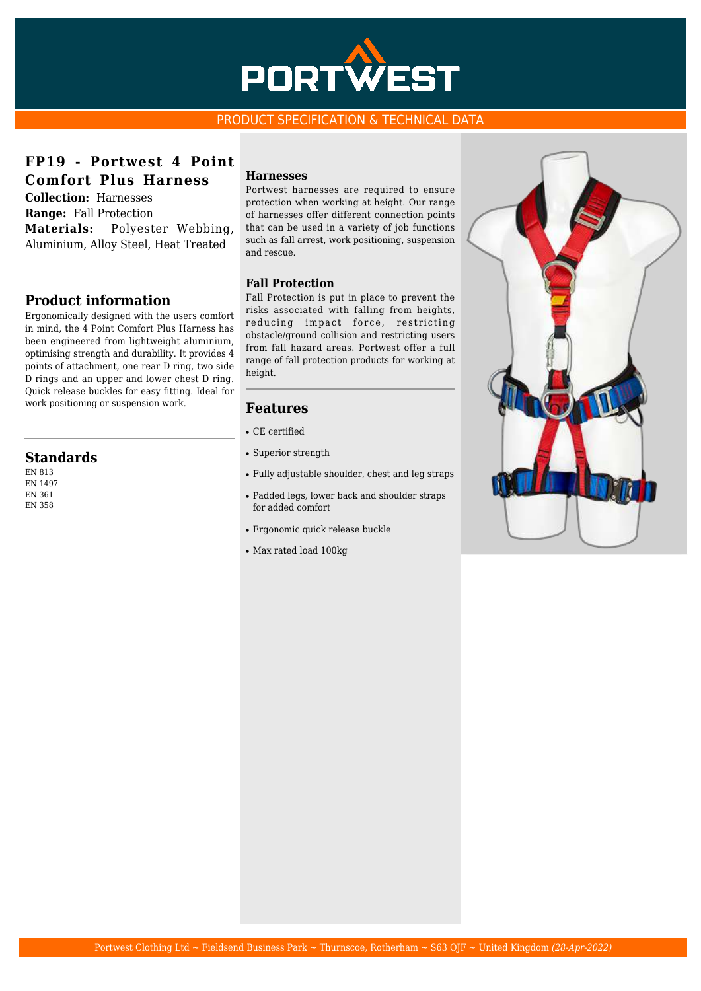

## PRODUCT SPECIFICATION & TECHNICAL DATA

**FP19 - Portwest 4 Point Comfort Plus Harness**

**Collection:** Harnesses **Range:** Fall Protection **Materials:** Polyester Webbing, Aluminium, Alloy Steel, Heat Treated

# **Product information**

Ergonomically designed with the users comfort in mind, the 4 Point Comfort Plus Harness has been engineered from lightweight aluminium, optimising strength and durability. It provides 4 points of attachment, one rear D ring, two side D rings and an upper and lower chest D ring. Quick release buckles for easy fitting. Ideal for work positioning or suspension work.

# **Standards**

EN 813 EN 1497 EN 361 EN 358

#### **Harnesses**

Portwest harnesses are required to ensure protection when working at height. Our range of harnesses offer different connection points that can be used in a variety of job functions such as fall arrest, work positioning, suspension and rescue.

#### **Fall Protection**

Fall Protection is put in place to prevent the risks associated with falling from heights, reducing impact force, restricting obstacle/ground collision and restricting users from fall hazard areas. Portwest offer a full range of fall protection products for working at height.

## **Features**

- CE certified
- Superior strength
- Fully adjustable shoulder, chest and leg straps
- Padded legs, lower back and shoulder straps for added comfort
- Ergonomic quick release buckle
- Max rated load 100kg